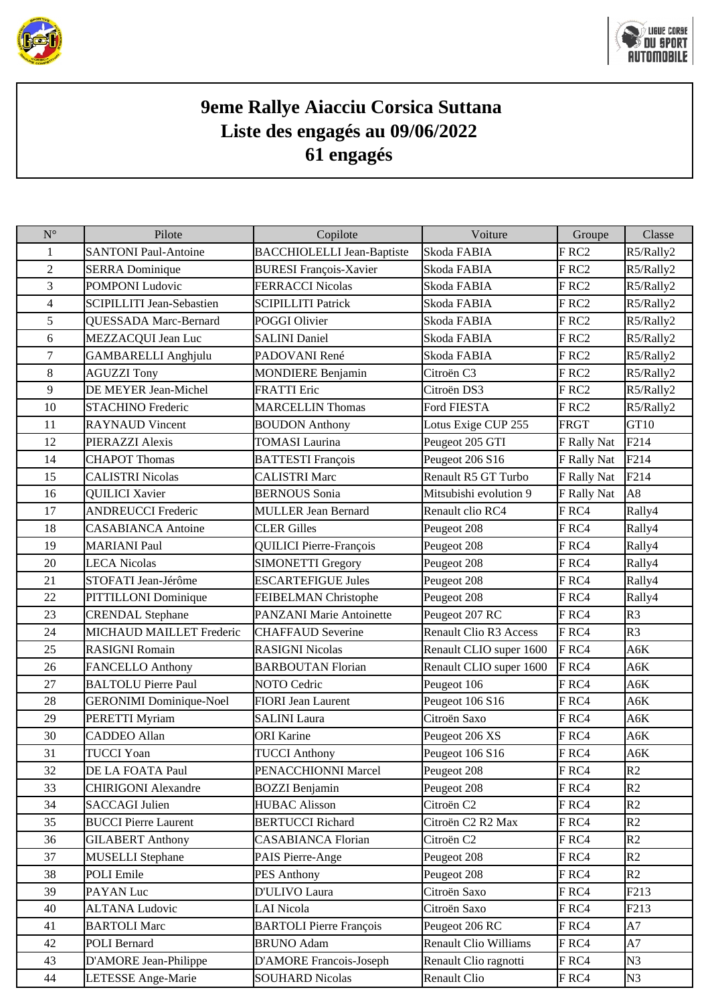



## **9eme Rallye Aiacciu Corsica Suttana Liste des engagés au 09/06/2022 61 engagés**

| $N^{\circ}$              | Pilote                           | Copilote                          | Voiture                       | Groupe           | Classe           |
|--------------------------|----------------------------------|-----------------------------------|-------------------------------|------------------|------------------|
| 1                        | <b>SANTONI Paul-Antoine</b>      | <b>BACCHIOLELLI Jean-Baptiste</b> | Skoda FABIA                   | FRC <sub>2</sub> | R5/Rally2        |
| $\overline{2}$           | <b>SERRA</b> Dominique           | <b>BURESI François-Xavier</b>     | Skoda FABIA                   | FRC <sub>2</sub> | R5/Rally2        |
| 3                        | POMPONI Ludovic                  | <b>FERRACCI Nicolas</b>           | Skoda FABIA                   | FRC <sub>2</sub> | R5/Rally2        |
| $\overline{\mathcal{L}}$ | <b>SCIPILLITI Jean-Sebastien</b> | <b>SCIPILLITI Patrick</b>         | Skoda FABIA                   | FRC <sub>2</sub> | R5/Rally2        |
| 5                        | <b>QUESSADA Marc-Bernard</b>     | POGGI Olivier                     | Skoda FABIA                   | FRC <sub>2</sub> | R5/Rally2        |
| 6                        | MEZZACQUI Jean Luc               | <b>SALINI Daniel</b>              | Skoda FABIA                   | FRC <sub>2</sub> | R5/Rally2        |
| $\tau$                   | <b>GAMBARELLI Anghjulu</b>       | PADOVANI René                     | Skoda FABIA                   | FRC <sub>2</sub> | R5/Rally2        |
| 8                        | <b>AGUZZI Tony</b>               | <b>MONDIERE Benjamin</b>          | Citroën C3                    | FRC <sub>2</sub> | R5/Rally2        |
| 9                        | DE MEYER Jean-Michel             | <b>FRATTI</b> Eric                | Citroën DS3                   | FRC2             | R5/Rally2        |
| 10                       | <b>STACHINO Frederic</b>         | <b>MARCELLIN Thomas</b>           | Ford FIESTA                   | FRC <sub>2</sub> | R5/Rally2        |
| 11                       | <b>RAYNAUD</b> Vincent           | <b>BOUDON</b> Anthony             | Lotus Exige CUP 255           | <b>FRGT</b>      | GT <sub>10</sub> |
| 12                       | PIERAZZI Alexis                  | <b>TOMASI Laurina</b>             | Peugeot 205 GTI               | F Rally Nat      | F214             |
| 14                       | <b>CHAPOT Thomas</b>             | <b>BATTESTI François</b>          | Peugeot 206 S16               | F Rally Nat      | F214             |
| 15                       | <b>CALISTRI Nicolas</b>          | <b>CALISTRI Marc</b>              | Renault R5 GT Turbo           | F Rally Nat      | F214             |
| 16                       | <b>QUILICI Xavier</b>            | <b>BERNOUS</b> Sonia              | Mitsubishi evolution 9        | F Rally Nat      | A8               |
| 17                       | <b>ANDREUCCI Frederic</b>        | <b>MULLER Jean Bernard</b>        | Renault clio RC4              | FRC4             | Rally4           |
| 18                       | <b>CASABIANCA Antoine</b>        | <b>CLER Gilles</b>                | Peugeot 208                   | FRC4             | Rally4           |
| 19                       | <b>MARIANI Paul</b>              | <b>QUILICI Pierre-François</b>    | Peugeot 208                   | FRC4             | Rally4           |
| 20                       | <b>LECA Nicolas</b>              | <b>SIMONETTI Gregory</b>          | Peugeot 208                   | FRC4             | Rally4           |
| 21                       | STOFATI Jean-Jérôme              | <b>ESCARTEFIGUE Jules</b>         | Peugeot 208                   | FRC4             | Rally4           |
| 22                       | PITTILLONI Dominique             | FEIBELMAN Christophe              | Peugeot 208                   | FRC4             | Rally4           |
| 23                       | <b>CRENDAL</b> Stephane          | <b>PANZANI Marie Antoinette</b>   | Peugeot 207 RC                | FRC4             | R <sub>3</sub>   |
| 24                       | <b>MICHAUD MAILLET Frederic</b>  | <b>CHAFFAUD Severine</b>          | <b>Renault Clio R3 Access</b> | FRC4             | R3               |
| 25                       | <b>RASIGNI Romain</b>            | <b>RASIGNI Nicolas</b>            | Renault CLIO super 1600       | FRC4             | A6K              |
| 26                       | <b>FANCELLO Anthony</b>          | <b>BARBOUTAN Florian</b>          | Renault CLIO super 1600       | FRC4             | A6K              |
| 27                       | <b>BALTOLU</b> Pierre Paul       | <b>NOTO Cedric</b>                | Peugeot 106                   | FRC4             | A6K              |
| 28                       | <b>GERONIMI</b> Dominique-Noel   | <b>FIORI</b> Jean Laurent         | Peugeot 106 S16               | FRC4             | A6K              |
| 29                       | PERETTI Myriam                   | <b>SALINI</b> Laura               | Citroën Saxo                  | FRC4             | A6K              |
| 30                       | <b>CADDEO Allan</b>              | <b>ORI Karine</b>                 | Peugeot 206 XS                | FRC4             | A6K              |
| 31                       | <b>TUCCI Yoan</b>                | <b>TUCCI Anthony</b>              | Peugeot 106 S16               | FRC4             | A6K              |
| 32                       | DE LA FOATA Paul                 | PENACCHIONNI Marcel               | Peugeot 208                   | FRC4             | R <sub>2</sub>   |
| 33                       | <b>CHIRIGONI Alexandre</b>       | <b>BOZZI</b> Benjamin             | Peugeot 208                   | FRC4             | R2               |
| 34                       | <b>SACCAGI Julien</b>            | <b>HUBAC Alisson</b>              | Citroën <sub>C2</sub>         | FRC4             | R2               |
| 35                       | <b>BUCCI Pierre Laurent</b>      | <b>BERTUCCI Richard</b>           | Citroën C2 R2 Max             | FRC4             | R2               |
| 36                       | <b>GILABERT Anthony</b>          | <b>CASABIANCA Florian</b>         | Citroën C <sub>2</sub>        | FRC4             | R <sub>2</sub>   |
| 37                       | <b>MUSELLI</b> Stephane          | PAIS Pierre-Ange                  | Peugeot 208                   | FRC4             | R2               |
| 38                       | POLI Emile                       | <b>PES Anthony</b>                | Peugeot 208                   | FRC4             | R2               |
| 39                       | PAYAN Luc                        | D'ULIVO Laura                     | Citroën Saxo                  | FRC4             | F213             |
| 40                       | <b>ALTANA Ludovic</b>            | <b>LAI</b> Nicola                 | Citroën Saxo                  | FRC4             | F213             |
| 41                       | <b>BARTOLI Marc</b>              | <b>BARTOLI Pierre François</b>    | Peugeot 206 RC                | FRC4             | A7               |
| 42                       | <b>POLI Bernard</b>              | <b>BRUNO Adam</b>                 | <b>Renault Clio Williams</b>  | FRC4             | A7               |
| 43                       | D'AMORE Jean-Philippe            | D'AMORE Francois-Joseph           | Renault Clio ragnotti         | FRC4             | N <sub>3</sub>   |
| 44                       | LETESSE Ange-Marie               | <b>SOUHARD Nicolas</b>            | Renault Clio                  | FRC4             | N <sub>3</sub>   |